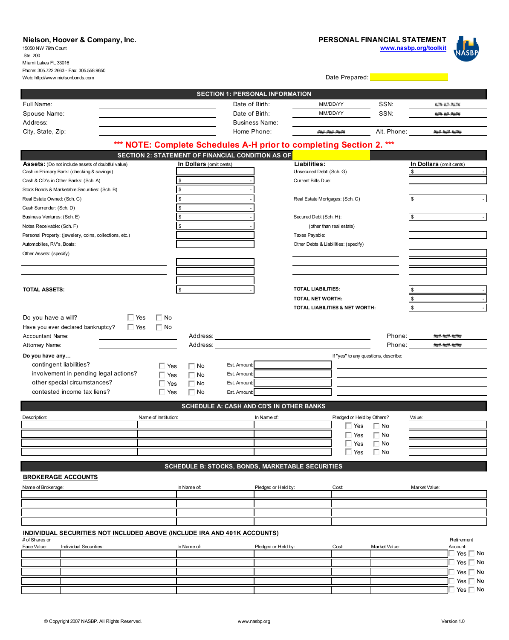## **Nielson, Hoover & Company, Inc. PERSONAL FINANCIAL STATEMENT www.nasbp.org/toolkit** 15050 NW 79th Court Ste. 200 Miami Lakes FL 33016 Phone: 305.722.2663 - Fax: 305.558.9650 Web: http://www.nielsonbonds.com Date Prepared: **SECTION 1: PERSONAL INFORMATION** SSN: Full Name: Date of Birth: MM/DD/YY ###-##-#### Spouse Name: MM/DD/YY Noted that the Spouse Name: MM/DD/YY Noted that the MM/DD/YY Date of Birth:  $MMDDAYY$  SSN:  $\frac{mm}{mm}\frac{mm}{mm}\frac{mm}{mm}$  SSN: Address: Business Name: City, State, Zip: example 20 and 20 and 20 and 20 and 20 and 20 and 20 and 20 and 20 and 20 and 20 and 20 and 20 and 20 and 20 and 20 and 20 and 20 and 20 and 20 and 20 and 20 and 20 and 20 and 20 and 20 and 20 and 20 and ###-###-#### Alt. Phone: ###-###-#### **\*\*\* NOTE: Complete Schedules A-H prior to completing Section 2. \*\*\* SECTION 2: STATEMENT OF FINANCIAL CONDITION AS OF Assets:** (Do not include assets of doubtful value) **In Dollars** (omit cents) **In Dollars** (omit cents) **In Dollars** (omit cents) **In Dollars** (omit cents) Cash in Primary Bank: (checking & savings) Unsecured Debt: (Sch. G)  $\mathfrak s$  -  $\blacksquare$ Cash & CD's in Other Banks: (Sch. A) \$ - Current Bills Due: Stock Bonds & Marketable Securities: (Sch. B) Real Estate Owned: (Sch. C) 6 - Real Estate Mortgages: (Sch. C) 5 - Real Estate Mortgages: (Sch. C) Cash Surrender: (Sch. D)  $\mathfrak s$  -  $\blacksquare$ Business Ventures: (Sch. E)  $\frac{1}{3}$  - Secured Debt (Sch. H):  $\mathfrak s$  -  $\blacksquare$ Notes Receivable: (Sch. F) \$ - (other than real estate) Personal Property: (jewelery, coins, collections, etc.) Taxes Payable: Automobiles, RV's, Boats: Other Debts & Liabilities: (specify) Other Assets: (specify) **TOTAL LIABILITIES: TOTAL ASSETS:**  $\mathfrak s$  -  $\blacksquare$ **TOTAL NET WORTH:**  $\mathfrak s$  -  $\blacksquare$ **TOTAL LIABILITIES & NET WORTH:**  $\mathfrak s$  -  $\blacksquare$  $\Box$  Yes  $\Box$  No Do you have a will? Have you ever declared bankruptcy?  $\Box$  Yes  $\Box$  No Accountant Name: Address: Phone: Phone: Phone: Phone: Phone: Phone: Phone: Phone: Phone: Phone: Phone: Phone: Phone: Phone: Phone: Phone: Phone: Phone: Phone: Phone: Phone: Phone: Phone: Phone: Phone: Phone: Phone: Phone: Phone: Phone: Pho ###-###-#### Attorney Name: Address: Phone: Phone: Phone: Phone: Phone: Phone: Phone: Phone: Phone: Phone: Phone: Phone: Phone: Phone: Phone: Phone: Phone: Phone: Phone: Phone: Phone: Phone: Phone: Phone: Phone: Phone: Phone: Phone: Phone: Phone: Pho ###-###-#### **Do you have any…** If "yes" to any questions, describe: contingent liabilities? Est. Amount:  $\Box$  Yes  $\Box$  No involvement in pending legal actions?  $\Box$  Yes  $\Box$  No Est. Amount: other special circumstances?  $\sqrt{Y}$ es  $\Box$  No Г Est. Amount:  $\Box$  Yes  $\Box$  No contested income tax liens? Est. Amount: **SCHEDULE A: CASH AND CD'S IN OTHER BANKS** Description: Name of Institution: In Name of: Pledged or Held by Others? Value: ■ Yes ■ No  $\Box$  Yes  $\Box$  No  $\Box$  Yes  $\Box$  No  $\Box$  Yes  $\Box$  No **SCHEDULE B: STOCKS, BONDS, MARKETABLE SECURITIES BROKERAGE ACCOUNTS** Name of Brokerage: In Name of: Pledged or Held by: Cost: Market Value: **INDIVIDUAL SECURITIES NOT INCLUDED ABOVE (INCLUDE IRA AND 401K ACCOUNTS)** # of Shares or Retirement In Name of: Face Value: Pledividual Securities: Pledged or Held by: Cost: Market Value: Pledged or Held by: Cost: Market Value: Account: Yes □ No Yes  $\Box$  No Yes  $\Box$  No Yes  $\Box$  No  $\overline{\phantom{a}}$  Yes  $\overline{\phantom{a}}$  No